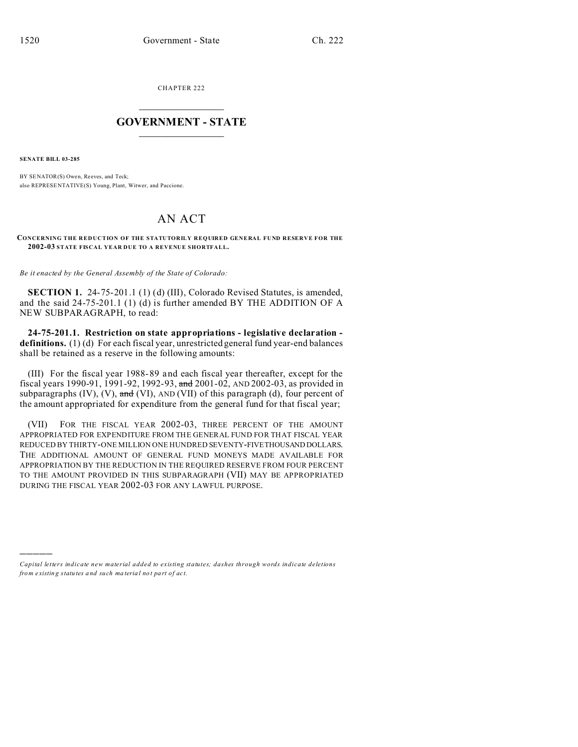CHAPTER 222  $\overline{\phantom{a}}$  , where  $\overline{\phantom{a}}$ 

## **GOVERNMENT - STATE**  $\_$   $\_$

**SENATE BILL 03-285**

)))))

BY SENATOR(S) Owen, Reeves, and Teck; also REPRESE NTATIVE(S) Young, Plant, Witwer, and Paccione.

## AN ACT

## **CONCERNING THE REDUCTION OF THE STATUTORILY REQUIRED GENERAL FUND RESERVE FOR THE 2002-03 STATE FISCAL YEAR DUE TO A REVENUE SHORTFALL.**

*Be it enacted by the General Assembly of the State of Colorado:*

**SECTION 1.** 24-75-201.1 (1) (d) (III), Colorado Revised Statutes, is amended, and the said 24-75-201.1 (1) (d) is further amended BY THE ADDITION OF A NEW SUBPARAGRAPH, to read:

**24-75-201.1. Restriction on state appropriations - legislative declaration definitions.** (1) (d) For each fiscal year, unrestricted general fund year-end balances shall be retained as a reserve in the following amounts:

(III) For the fiscal year 1988-89 and each fiscal year thereafter, except for the fiscal years 1990-91, 1991-92, 1992-93, and 2001-02, AND 2002-03, as provided in subparagraphs  $(IV)$ ,  $(V)$ , and  $(VI)$ , AND  $(VII)$  of this paragraph  $(d)$ , four percent of the amount appropriated for expenditure from the general fund for that fiscal year;

(VII) FOR THE FISCAL YEAR 2002-03, THREE PERCENT OF THE AMOUNT APPROPRIATED FOR EXPENDITURE FROM THE GENERAL FUND FOR THAT FISCAL YEAR REDUCED BY THIRTY-ONE MILLION ONE HUNDRED SEVENTY-FIVETHOUSAND DOLLARS. THE ADDITIONAL AMOUNT OF GENERAL FUND MONEYS MADE AVAILABLE FOR APPROPRIATION BY THE REDUCTION IN THE REQUIRED RESERVE FROM FOUR PERCENT TO THE AMOUNT PROVIDED IN THIS SUBPARAGRAPH (VII) MAY BE APPROPRIATED DURING THE FISCAL YEAR 2002-03 FOR ANY LAWFUL PURPOSE.

*Capital letters indicate new material added to existing statutes; dashes through words indicate deletions from e xistin g statu tes a nd such ma teria l no t pa rt of ac t.*